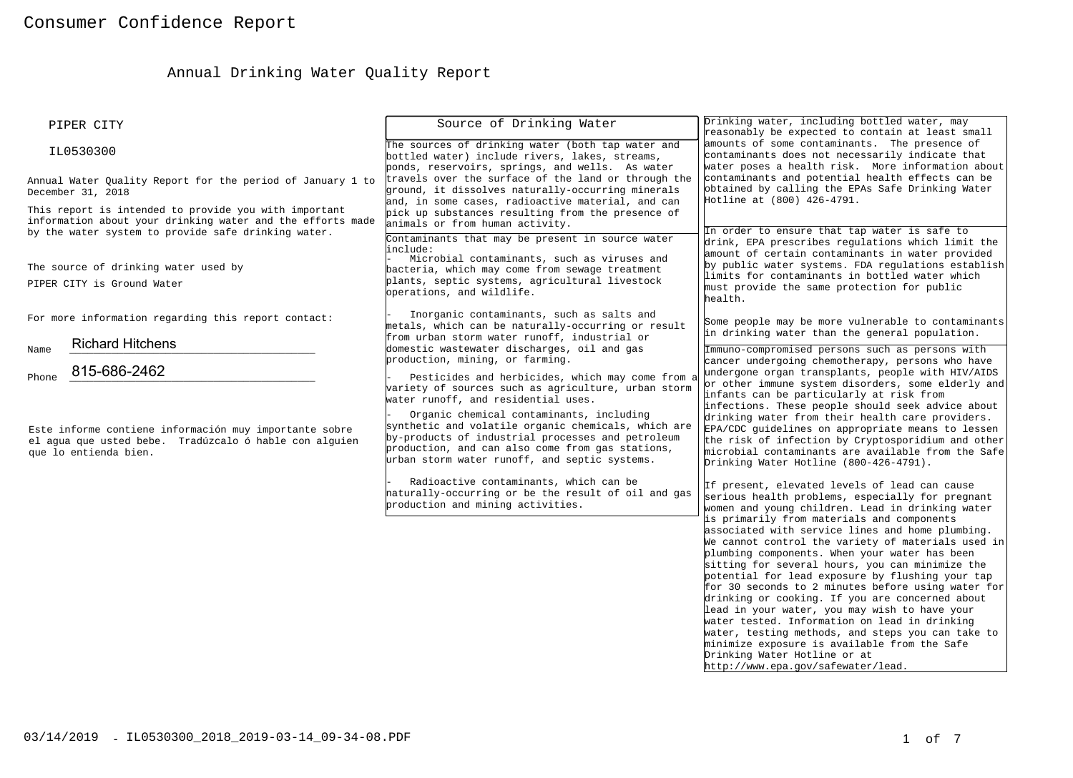# Annual Drinking Water Quality Report

| PIPER CITY                                                                                                                                                                 | Source of Drinking Water                                                                                                                                                                                                                                                                         | Drinking water, including bottled water, may<br>reasonably be expected to contain at least small                                                                                                                                                                                                                                                                                                                                                                                                                                                                                                                                                                                                                                                                                                                                                            |
|----------------------------------------------------------------------------------------------------------------------------------------------------------------------------|--------------------------------------------------------------------------------------------------------------------------------------------------------------------------------------------------------------------------------------------------------------------------------------------------|-------------------------------------------------------------------------------------------------------------------------------------------------------------------------------------------------------------------------------------------------------------------------------------------------------------------------------------------------------------------------------------------------------------------------------------------------------------------------------------------------------------------------------------------------------------------------------------------------------------------------------------------------------------------------------------------------------------------------------------------------------------------------------------------------------------------------------------------------------------|
| IL0530300                                                                                                                                                                  | The sources of drinking water (both tap water and<br>bottled water) include rivers, lakes, streams,<br>ponds, reservoirs, springs, and wells. As water                                                                                                                                           | amounts of some contaminants. The presence of<br>contaminants does not necessarily indicate that<br>water poses a health risk. More information about                                                                                                                                                                                                                                                                                                                                                                                                                                                                                                                                                                                                                                                                                                       |
| Annual Water Ouality Report for the period of January 1 to<br>December 31, 2018                                                                                            | travels over the surface of the land or through the<br>ground, it dissolves naturally-occurring minerals<br>and, in some cases, radioactive material, and can                                                                                                                                    | contaminants and potential health effects can be<br>obtained by calling the EPAs Safe Drinking Water<br>Hotline at (800) 426-4791.                                                                                                                                                                                                                                                                                                                                                                                                                                                                                                                                                                                                                                                                                                                          |
| This report is intended to provide you with important<br>information about your drinking water and the efforts made<br>by the water system to provide safe drinking water. | pick up substances resulting from the presence of<br>animals or from human activity.<br>Contaminants that may be present in source water                                                                                                                                                         | In order to ensure that tap water is safe to                                                                                                                                                                                                                                                                                                                                                                                                                                                                                                                                                                                                                                                                                                                                                                                                                |
| The source of drinking water used by<br>PIPER CITY is Ground Water                                                                                                         | include:<br>Microbial contaminants, such as viruses and<br>bacteria, which may come from sewage treatment<br>plants, septic systems, agricultural livestock<br>operations, and wildlife.                                                                                                         | drink, EPA prescribes regulations which limit the<br>amount of certain contaminants in water provided<br>by public water systems. FDA regulations establish<br>limits for contaminants in bottled water which<br>must provide the same protection for public<br>health.                                                                                                                                                                                                                                                                                                                                                                                                                                                                                                                                                                                     |
| For more information regarding this report contact:                                                                                                                        | Inorganic contaminants, such as salts and<br>metals, which can be naturally-occurring or result<br>from urban storm water runoff, industrial or                                                                                                                                                  | Some people may be more vulnerable to contaminants<br>in drinking water than the general population.                                                                                                                                                                                                                                                                                                                                                                                                                                                                                                                                                                                                                                                                                                                                                        |
| <b>Richard Hitchens</b><br>Name<br>815-686-2462<br>Phone                                                                                                                   | domestic wastewater discharges, oil and gas<br>production, mining, or farming.<br>Pesticides and herbicides, which may come from a<br>variety of sources such as agriculture, urban storm                                                                                                        | Immuno-compromised persons such as persons with<br>cancer undergoing chemotherapy, persons who have<br>undergone organ transplants, people with HIV/AIDS<br>or other immune system disorders, some elderly and<br>infants can be particularly at risk from                                                                                                                                                                                                                                                                                                                                                                                                                                                                                                                                                                                                  |
| Este informe contiene información muy importante sobre<br>el agua que usted bebe. Tradúzcalo ó hable con alguien<br>que lo entienda bien.                                  | water runoff, and residential uses.<br>Organic chemical contaminants, including<br>synthetic and volatile organic chemicals, which are<br>by-products of industrial processes and petroleum<br>production, and can also come from gas stations,<br>urban storm water runoff, and septic systems. | infections. These people should seek advice about<br>drinking water from their health care providers.<br>EPA/CDC guidelines on appropriate means to lessen<br>the risk of infection by Cryptosporidium and other<br>microbial contaminants are available from the Safe<br>Drinking Water Hotline (800-426-4791).                                                                                                                                                                                                                                                                                                                                                                                                                                                                                                                                            |
|                                                                                                                                                                            | Radioactive contaminants, which can be<br>haturally-occurring or be the result of oil and gas<br>production and mining activities.                                                                                                                                                               | If present, elevated levels of lead can cause<br>serious health problems, especially for pregnant<br>women and young children. Lead in drinking water<br>is primarily from materials and components<br>associated with service lines and home plumbing.<br>We cannot control the variety of materials used in<br>plumbing components. When your water has been<br>sitting for several hours, you can minimize the<br>potential for lead exposure by flushing your tap<br>for 30 seconds to 2 minutes before using water for<br>drinking or cooking. If you are concerned about<br>lead in your water, you may wish to have your<br>water tested. Information on lead in drinking<br>water, testing methods, and steps you can take to<br>minimize exposure is available from the Safe<br>Drinking Water Hotline or at<br>http://www.epa.gov/safewater/lead. |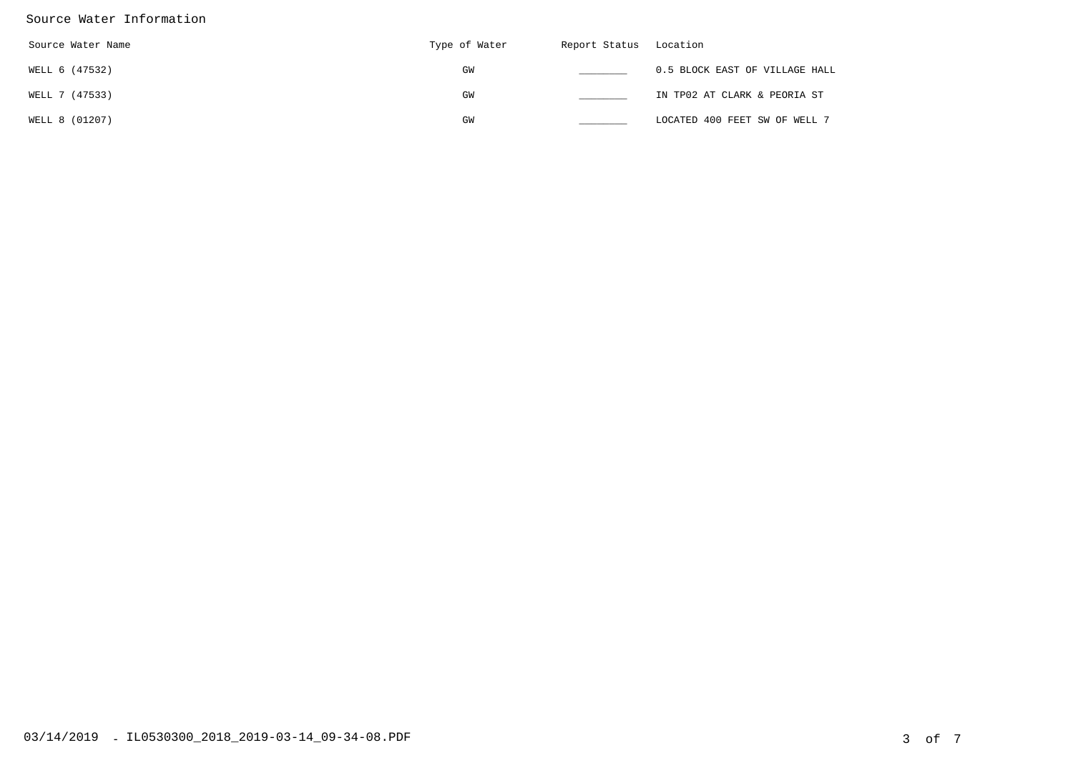### Source Water Information

| Source Water Name | Type of Water | Report Status Location |                                |
|-------------------|---------------|------------------------|--------------------------------|
| WELL 6 (47532)    | GM            |                        | 0.5 BLOCK EAST OF VILLAGE HALL |
| WELL 7 (47533)    | GM            |                        | IN TP02 AT CLARK & PEORIA ST   |
| WELL 8 (01207)    | GM            |                        | LOCATED 400 FEET SW OF WELL 7  |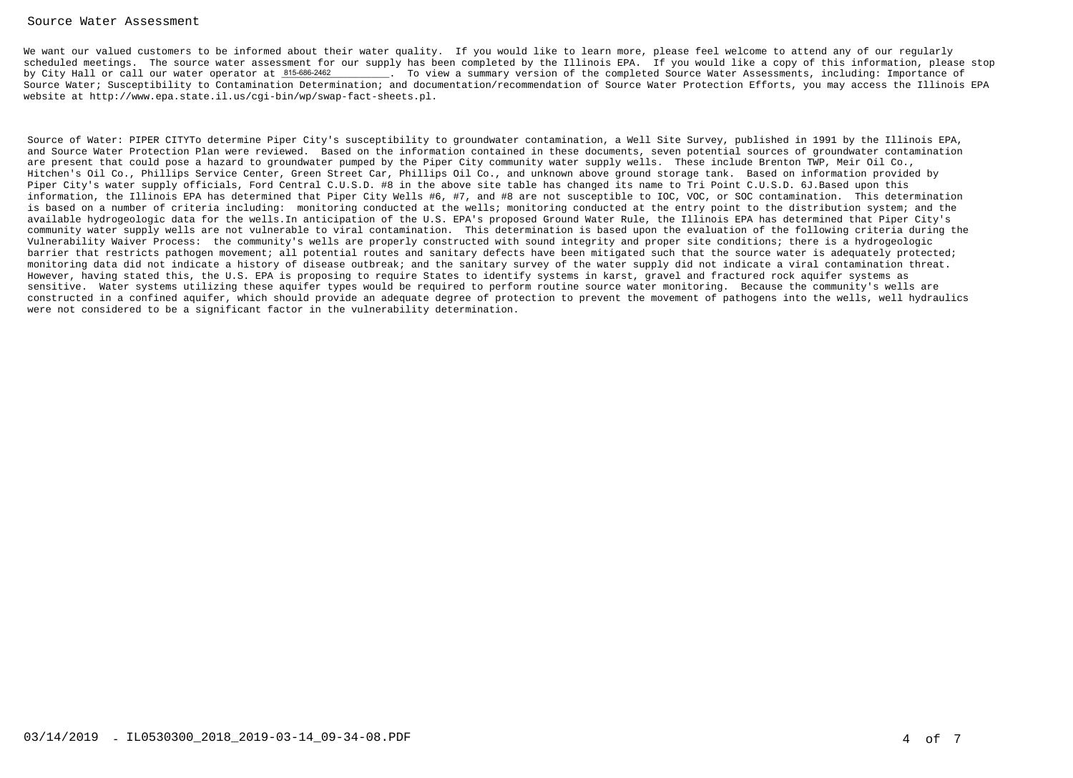#### Source Water Assessment

We want our valued customers to be informed about their water quality. If you would like to learn more, please feel welcome to attend any of our regularly scheduled meetings. The source water assessment for our supply has been completed by the Illinois EPA. If you would like a copy of this information, please stop. To view a summary version of the completed Source Water Assessments, including: Importance of Source Water; Susceptibility to Contamination Determination; and documentation/recommendation of Source Water Protection Efforts, you may access the Illinois EPAwebsite at http://www.epa.state.il.us/cgi-bin/wp/swap-fact-sheets.pl.by City Hall or call our water operator at 815-686-2462

Source of Water: PIPER CITYTo determine Piper City's susceptibility to groundwater contamination, a Well Site Survey, published in 1991 by the Illinois EPA, and Source Water Protection Plan were reviewed. Based on the information contained in these documents, seven potential sources of groundwater contaminationare present that could pose a hazard to groundwater pumped by the Piper City community water supply wells. These include Brenton TWP, Meir Oil Co., Hitchen's Oil Co., Phillips Service Center, Green Street Car, Phillips Oil Co., and unknown above ground storage tank. Based on information provided byPiper City's water supply officials, Ford Central C.U.S.D. #8 in the above site table has changed its name to Tri Point C.U.S.D. 6J.Based upon this information, the Illinois EPA has determined that Piper City Wells #6, #7, and #8 are not susceptible to IOC, VOC, or SOC contamination. This determination is based on a number of criteria including: monitoring conducted at the wells; monitoring conducted at the entry point to the distribution system; and the available hydrogeologic data for the wells.In anticipation of the U.S. EPA's proposed Ground Water Rule, the Illinois EPA has determined that Piper City's community water supply wells are not vulnerable to viral contamination. This determination is based upon the evaluation of the following criteria during theVulnerability Waiver Process: the community's wells are properly constructed with sound integrity and proper site conditions; there is a hydrogeologic barrier that restricts pathogen movement; all potential routes and sanitary defects have been mitigated such that the source water is adequately protected; monitoring data did not indicate a history of disease outbreak; and the sanitary survey of the water supply did not indicate a viral contamination threat.However, having stated this, the U.S. EPA is proposing to require States to identify systems in karst, gravel and fractured rock aquifer systems as sensitive. Water systems utilizing these aquifer types would be required to perform routine source water monitoring. Because the community's wells are constructed in a confined aquifer, which should provide an adequate degree of protection to prevent the movement of pathogens into the wells, well hydraulicswere not considered to be a significant factor in the vulnerability determination.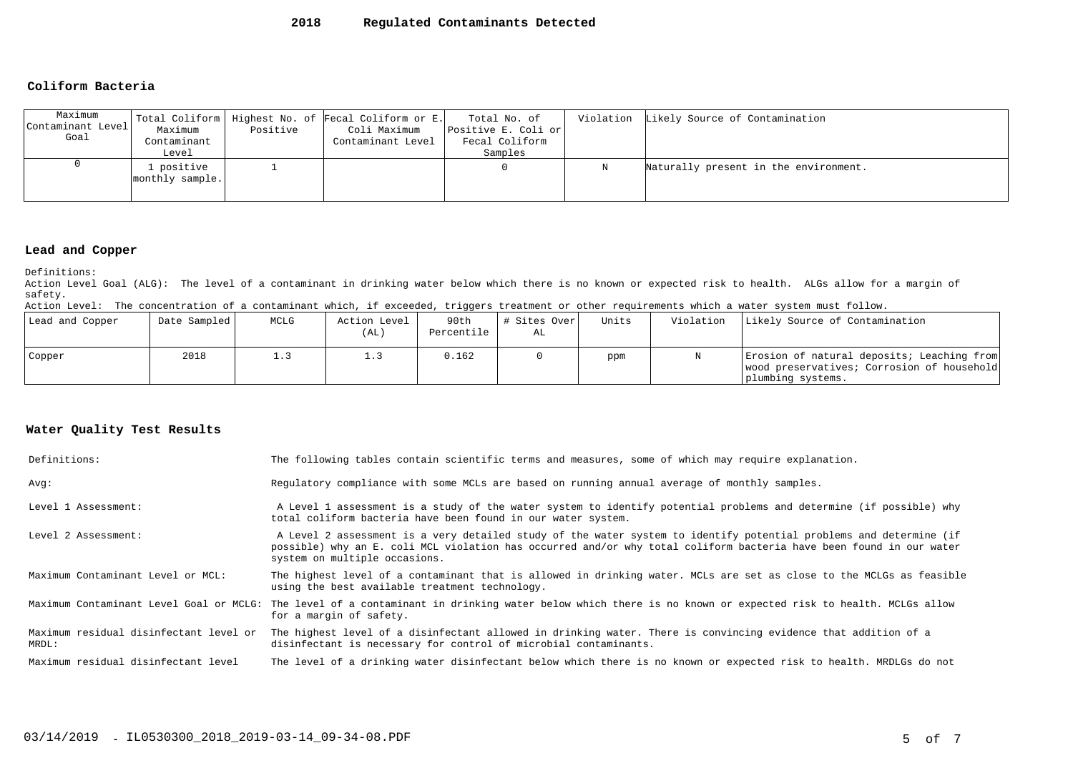#### **2018Regulated Contaminants Detected**

#### **Coliform Bacteria**

| Maximum<br>Contaminant Level<br>Goal | Maximum<br>Contaminant<br>Level | Positive | Total Coliform   Highest No. of Fecal Coliform or E.<br>Coli Maximum<br>Contaminant Level | Total No. of<br>Positive E. Coli or<br>Fecal Coliform<br>Samples | Violation Likely Source of Contamination |
|--------------------------------------|---------------------------------|----------|-------------------------------------------------------------------------------------------|------------------------------------------------------------------|------------------------------------------|
|                                      | . positive<br>monthly sample.   |          |                                                                                           |                                                                  | Naturally present in the environment.    |

#### **Lead and Copper**

Definitions:

 Action Level Goal (ALG): The level of a contaminant in drinking water below which there is no known or expected risk to health. ALGs allow for a margin ofsafety.

Action Level: The concentration of a contaminant which, if exceeded, triggers treatment or other requirements which a water system must follow.

| Lead and Copper | Date Sampled | MCLG | Action Level<br>(AL | 90th<br>Percentile | # Sites Over<br>AL | Units | Violation | Likely Source of Contamination                                                                                |
|-----------------|--------------|------|---------------------|--------------------|--------------------|-------|-----------|---------------------------------------------------------------------------------------------------------------|
| Copper          | 2018         |      | ⊥. ડ                | 0.162              |                    | ppm   |           | Erosion of natural deposits; Leaching from<br>wood preservatives; Corrosion of household<br>plumbing systems. |

#### **Water Quality Test Results**

| Definitions:                                    | The following tables contain scientific terms and measures, some of which may require explanation.                                                                                                                                                                         |
|-------------------------------------------------|----------------------------------------------------------------------------------------------------------------------------------------------------------------------------------------------------------------------------------------------------------------------------|
| Avq:                                            | Requlatory compliance with some MCLs are based on running annual average of monthly samples.                                                                                                                                                                               |
| Level 1 Assessment:                             | A Level 1 assessment is a study of the water system to identify potential problems and determine (if possible) why<br>total coliform bacteria have been found in our water system.                                                                                         |
| Level 2 Assessment:                             | A Level 2 assessment is a very detailed study of the water system to identify potential problems and determine (if<br>possible) why an E. coli MCL violation has occurred and/or why total coliform bacteria have been found in our water<br>system on multiple occasions. |
| Maximum Contaminant Level or MCL:               | The highest level of a contaminant that is allowed in drinking water. MCLs are set as close to the MCLGs as feasible<br>using the best available treatment technology.                                                                                                     |
|                                                 | Maximum Contaminant Level Goal or MCLG: The level of a contaminant in drinking water below which there is no known or expected risk to health. MCLGs allow<br>for a margin of safety.                                                                                      |
| Maximum residual disinfectant level or<br>MRDL: | The highest level of a disinfectant allowed in drinking water. There is convincing evidence that addition of a<br>disinfectant is necessary for control of microbial contaminants.                                                                                         |
| Maximum residual disinfectant level             | The level of a drinking water disinfectant below which there is no known or expected risk to health. MRDLGs do not                                                                                                                                                         |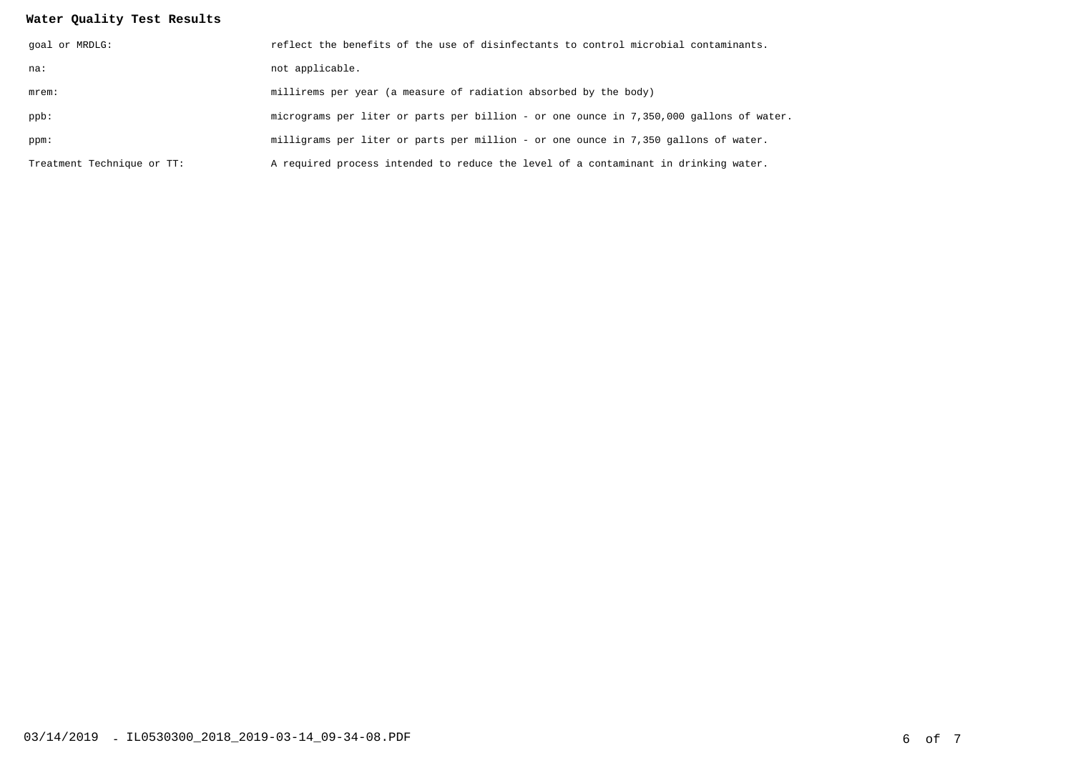## **Water Quality Test Results**

| goal or MRDLG:             | reflect the benefits of the use of disinfectants to control microbial contaminants.     |
|----------------------------|-----------------------------------------------------------------------------------------|
| na:                        | not applicable.                                                                         |
| $m$ rem:                   | millirems per year (a measure of radiation absorbed by the body)                        |
| ppb:                       | micrograms per liter or parts per billion - or one ounce in 7,350,000 gallons of water. |
| ppm:                       | milligrams per liter or parts per million - or one ounce in 7,350 gallons of water.     |
| Treatment Technique or TT: | A required process intended to reduce the level of a contaminant in drinking water.     |